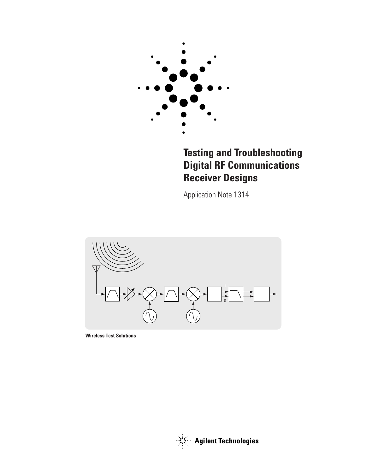

# **Testing and Troubleshooting Digital RF Communications Receiver Designs**

Application Note 1314



**Wireless Test Solutions**



**Agilent Technologies**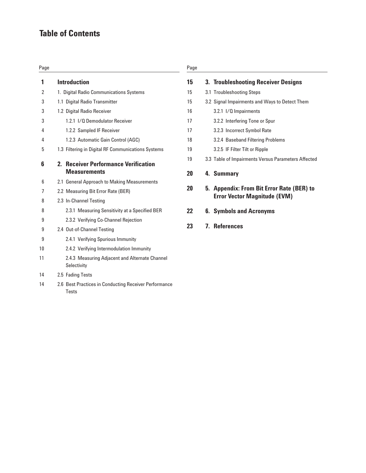# **Table of Contents**

| Page |                                                                                |
|------|--------------------------------------------------------------------------------|
| 1    | <b>Introduction</b>                                                            |
| 2    | 1. Digital Radio Communications Systems                                        |
| 3    | 1.1 Digital Radio Transmitter                                                  |
| 3    | 1.2 Digital Radio Receiver                                                     |
| 3    | 1.2.1 I/O Demodulator Receiver                                                 |
| 4    | 1.2.2 Sampled IF Receiver                                                      |
| 4    | 1.2.3 Automatic Gain Control (AGC)                                             |
| 5    | 1.3 Filtering in Digital RF Communications Systems                             |
| 6    | <b>Receiver Performance Verification</b><br>$2_{\cdot}$<br><b>Measurements</b> |
| 6    | 2.1 General Approach to Making Measurements                                    |
| 7    | 2.2 Measuring Bit Error Rate (BER)                                             |
| 8    | 2.3 In-Channel Testing                                                         |
| 8    | 2.3.1 Measuring Sensitivity at a Specified BER                                 |
| 9    | 2.3.2 Verifying Co-Channel Rejection                                           |
| 9    | 2.4 Out-of-Channel Testing                                                     |
| 9    | 2.4.1 Verifying Spurious Immunity                                              |
| 10   | 2.4.2 Verifying Intermodulation Immunity                                       |
| 11   | 2.4.3 Measuring Adjacent and Alternate Channel<br>Selectivity                  |
| 14   | 2.5 Fading Tests                                                               |

14 2.6 Best Practices in Conducting Receiver Performance

Tests

# Page

| 15 | 3. Troubleshooting Receiver Designs                                              |
|----|----------------------------------------------------------------------------------|
| 15 | 3.1 Troubleshooting Steps                                                        |
| 15 | 3.2 Signal Impairments and Ways to Detect Them                                   |
| 16 | 3.2.1 I/Q Impairments                                                            |
| 17 | 3.2.2 Interfering Tone or Spur                                                   |
| 17 | 3.2.3 Incorrect Symbol Rate                                                      |
| 18 | 3.2.4 Baseband Filtering Problems                                                |
| 19 | 3.2.5 IF Filter Tilt or Ripple                                                   |
| 19 | 3.3 Table of Impairments Versus Parameters Affected                              |
| 20 | 4. Summary                                                                       |
| 20 | 5. Appendix: From Bit Error Rate (BER) to<br><b>Error Vector Magnitude (EVM)</b> |
| 22 | <b>6. Symbols and Acronyms</b>                                                   |
| 23 | <b>7. References</b>                                                             |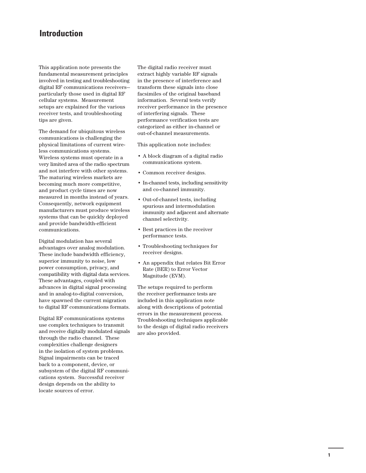# **Introduction**

This application note presents the fundamental measurement principles involved in testing and troubleshooting digital RF communications receivers particularly those used in digital RF cellular systems. Measurement setups are explained for the various receiver tests, and troubleshooting tips are given.

The demand for ubiquitous wireless communications is challenging the physical limitations of current wireless communications systems. Wireless systems must operate in a very limited area of the radio spectrum and not interfere with other systems. The maturing wireless markets are becoming much more competitive, and product cycle times are now measured in months instead of years. Consequently, network equipment manufacturers must produce wireless systems that can be quickly deployed and provide bandwidth-efficient communications.

Digital modulation has several advantages over analog modulation. These include bandwidth efficiency, superior immunity to noise, low power consumption, privacy, and compatibility with digital data services. These advantages, coupled with advances in digital signal processing and in analog-to-digital conversion, have spawned the current migration to digital RF communications formats.

Digital RF communications systems use complex techniques to transmit and receive digitally modulated signals through the radio channel. These complexities challenge designers in the isolation of system problems. Signal impairments can be traced back to a component, device, or subsystem of the digital RF communications system. Successful receiver design depends on the ability to locate sources of error.

The digital radio receiver must extract highly variable RF signals in the presence of interference and transform these signals into close facsimiles of the original baseband information. Several tests verify receiver performance in the presence of interfering signals. These performance verification tests are categorized as either in-channel or out-of-channel measurements.

This application note includes:

- A block diagram of a digital radio communications system.
- Common receiver designs.
- In-channel tests, including sensitivity and co-channel immunity.
- Out-of-channel tests, including spurious and intermodulation immunity and adjacent and alternate channel selectivity.
- Best practices in the receiver performance tests.
- Troubleshooting techniques for receiver designs.
- An appendix that relates Bit Error Rate (BER) to Error Vector Magnitude (EVM).

The setups required to perform the receiver performance tests are included in this application note along with descriptions of potential errors in the measurement process. Troubleshooting techniques applicable to the design of digital radio receivers are also provided.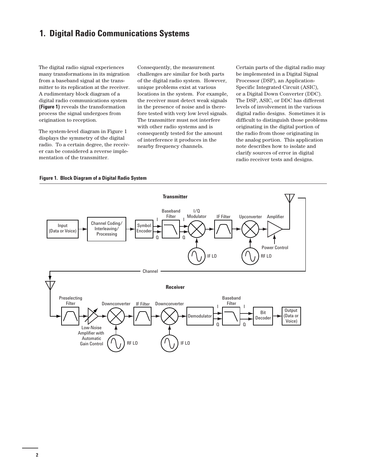# **1. Digital Radio Communications Systems**

The digital radio signal experiences many transformations in its migration from a baseband signal at the transmitter to its replication at the receiver. A rudimentary block diagram of a digital radio communications system **(Figure 1)** reveals the transformation process the signal undergoes from origination to reception.

The system-level diagram in Figure 1 displays the symmetry of the digital radio. To a certain degree, the receiver can be considered a reverse implementation of the transmitter.

Consequently, the measurement challenges are similar for both parts of the digital radio system. However, unique problems exist at various locations in the system. For example, the receiver must detect weak signals in the presence of noise and is therefore tested with very low level signals. The transmitter must not interfere with other radio systems and is consequently tested for the amount of interference it produces in the nearby frequency channels.

Certain parts of the digital radio may be implemented in a Digital Signal Processor (DSP), an Application-Specific Integrated Circuit (ASIC), or a Digital Down Converter (DDC). The DSP, ASIC, or DDC has different levels of involvement in the various digital radio designs. Sometimes it is difficult to distinguish those problems originating in the digital portion of the radio from those originating in the analog portion. This application note describes how to isolate and clarify sources of error in digital radio receiver tests and designs.



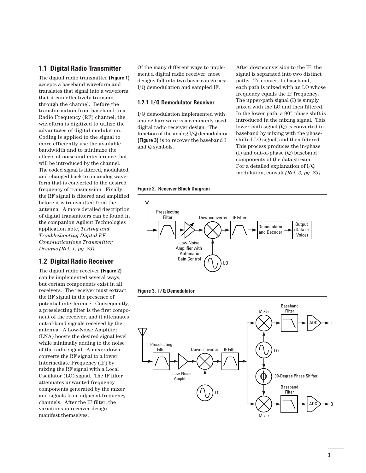# **1.1 Digital Radio Transmitter**

The digital radio transmitter **(Figure 1)** accepts a baseband waveform and translates that signal into a waveform that it can effectively transmit through the channel. Before the transformation from baseband to a Radio Frequency (RF) channel, the waveform is digitized to utilize the advantages of digital modulation. Coding is applied to the signal to more efficiently use the available bandwidth and to minimize the effects of noise and interference that will be introduced by the channel. The coded signal is filtered, modulated, and changed back to an analog waveform that is converted to the desired frequency of transmission. Finally, the RF signal is filtered and amplified before it is transmitted from the antenna. A more detailed description of digital transmitters can be found in the companion Agilent Technologies application note, *Testing and Troubleshooting Digital RF Communications Transmitter Designs (Ref. 1, pg. 23)*.

# **1.2 Digital Radio Receiver**

The digital radio receiver **(Figure 2)** can be implemented several ways, but certain components exist in all receivers. The receiver must extract the RF signal in the presence of potential interference. Consequently, a preselecting filter is the first component of the receiver, and it attenuates out-of-band signals received by the antenna. A Low-Noise Amplifier (LNA) boosts the desired signal level while minimally adding to the noise of the radio signal. A mixer downconverts the RF signal to a lower Intermediate Frequency (IF) by mixing the RF signal with a Local Oscillator (LO) signal. The IF filter attenuates unwanted frequency components generated by the mixer and signals from adjacent frequency channels. After the IF filter, the variations in receiver design manifest themselves.

Of the many different ways to implement a digital radio receiver, most designs fall into two basic categories: I/Q demodulation and sampled IF.

### **1.2.1 I/Q Demodulator Receiver**

I/Q demodulation implemented with analog hardware is a commonly used digital radio receiver design. The function of the analog I/Q demodulator **(Figure 3)** is to recover the baseband I and Q symbols.

After downconversion to the IF, the signal is separated into two distinct paths. To convert to baseband, each path is mixed with an LO whose frequency equals the IF frequency. The upper-path signal (I) is simply mixed with the LO and then filtered. In the lower path, a 90° phase shift is introduced in the mixing signal. This lower-path signal (Q) is converted to baseband by mixing with the phaseshifted LO signal, and then filtered. This process produces the in-phase (I) and out-of-phase (Q) baseband components of the data stream. For a detailed explanation of I/Q modulation, consult *(Ref. 2, pg. 23)*.

**Figure 2. Receiver Block Diagram** 





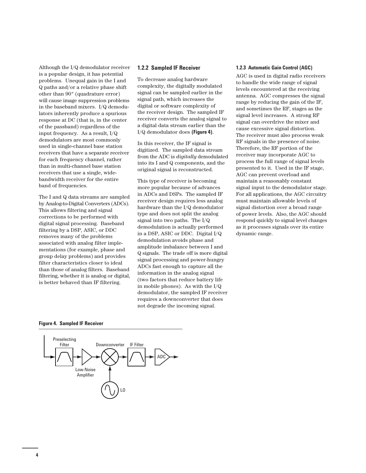Although the I/Q demodulator receiver is a popular design, it has potential problems. Unequal gain in the I and Q paths and/or a relative phase shift other than 90° (quadrature error) will cause image suppression problems in the baseband mixers. I/Q demodulators inherently produce a spurious response at DC (that is, in the center of the passband) regardless of the input frequency. As a result, I/Q demodulators are most commonly used in single-channel base station receivers that have a separate receiver for each frequency channel, rather than in multi-channel base station receivers that use a single, widebandwidth receiver for the entire band of frequencies.

The I and Q data streams are sampled by Analog-to-Digital Converters (ADCs). This allows filtering and signal corrections to be performed with digital signal processing. Baseband filtering by a DSP, ASIC, or DDC removes many of the problems associated with analog filter implementations (for example, phase and group delay problems) and provides filter characteristics closer to ideal than those of analog filters. Baseband filtering, whether it is analog or digital, is better behaved than IF filtering.

#### **1.2.2 Sampled IF Receiver**

To decrease analog hardware complexity, the digitally modulated signal can be sampled earlier in the signal path, which increases the digital or software complexity of the receiver design. The sampled IF receiver converts the analog signal to a digital data stream earlier than the I/Q demodulator does **(Figure 4)**.

In this receiver, the IF signal is digitized. The sampled data stream from the ADC is *digitally* demodulated into its I and Q components, and the original signal is reconstructed.

This type of receiver is becoming more popular because of advances in ADCs and DSPs. The sampled IF receiver design requires less analog hardware than the I/Q demodulator type and does not split the analog signal into two paths. The I/Q demodulation is actually performed in a DSP, ASIC or DDC. Digital I/Q demodulation avoids phase and amplitude imbalance between I and Q signals. The trade off is more digital signal processing and power-hungry ADCs fast enough to capture all the information in the analog signal (two factors that reduce battery life in mobile phones). As with the I/Q demodulator, the sampled IF receiver requires a downconverter that does not degrade the incoming signal.

#### **1.2.3 Automatic Gain Control (AGC)**

AGC is used in digital radio receivers to handle the wide range of signal levels encountered at the receiving antenna. AGC compresses the signal range by reducing the gain of the IF, and sometimes the RF, stages as the signal level increases. A strong RF signal can overdrive the mixer and cause excessive signal distortion. The receiver must also process weak RF signals in the presence of noise. Therefore, the RF portion of the receiver may incorporate AGC to process the full range of signal levels presented to it. Used in the IF stage, AGC can prevent overload and maintain a reasonably constant signal input to the demodulator stage. For all applications, the AGC circuitry must maintain allowable levels of signal distortion over a broad range of power levels. Also, the AGC should respond quickly to signal level changes as it processes signals over its entire dynamic range.

#### **Figure 4. Sampled IF Receiver**

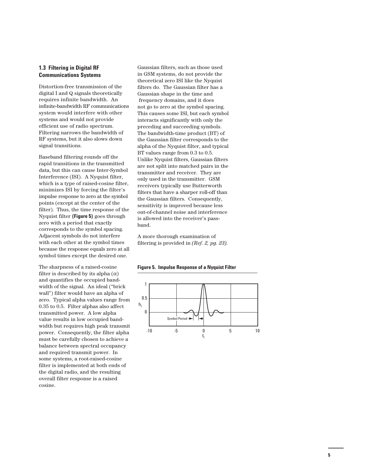## **1.3 Filtering in Digital RF Communications Systems**

Distortion-free transmission of the digital I and Q signals theoretically requires infinite bandwidth. An infinite-bandwidth RF communications system would interfere with other systems and would not provide efficient use of radio spectrum. Filtering narrows the bandwidth of RF systems, but it also slows down signal transitions.

Baseband filtering rounds off the rapid transitions in the transmitted data, but this can cause Inter-Symbol Interference (ISI). A Nyquist filter, which is a type of raised-cosine filter, minimizes ISI by forcing the filter's impulse response to zero at the symbol points (except at the center of the filter). Thus, the time response of the Nyquist filter **(Figure 5)** goes through zero with a period that exactly corresponds to the symbol spacing. Adjacent symbols do not interfere with each other at the symbol times because the response equals zero at all symbol times except the desired one.

The sharpness of a raised-cosine filter is described by its alpha  $(\alpha)$ and quantifies the occupied bandwidth of the signal. An ideal ("brick wall") filter would have an alpha of zero. Typical alpha values range from 0.35 to 0.5. Filter alphas also affect transmitted power. A low alpha value results in low occupied bandwidth but requires high peak transmit power. Consequently, the filter alpha must be carefully chosen to achieve a balance between spectral occupancy and required transmit power. In some systems, a root-raised-cosine filter is implemented at both ends of the digital radio, and the resulting overall filter response is a raised cosine.

Gaussian filters, such as those used in GSM systems, do not provide the theoretical zero ISI like the Nyquist filters do. The Gaussian filter has a Gaussian shape in the time and frequency domains, and it does not go to zero at the symbol spacing. This causes some ISI, but each symbol interacts significantly with only the preceding and succeeding symbols. The bandwidth-time product (BT) of the Gaussian filter corresponds to the alpha of the Nyquist filter, and typical BT values range from 0.3 to 0.5. Unlike Nyquist filters, Gaussian filters are not split into matched pairs in the transmitter and receiver. They are only used in the transmitter. GSM receivers typically use Butterworth filters that have a sharper roll-off than the Gaussian filters. Consequently, sensitivity is improved because less out-of-channel noise and interference is allowed into the receiver's passband.

A more thorough examination of filtering is provided in *(Ref. 2, pg. 23)*.



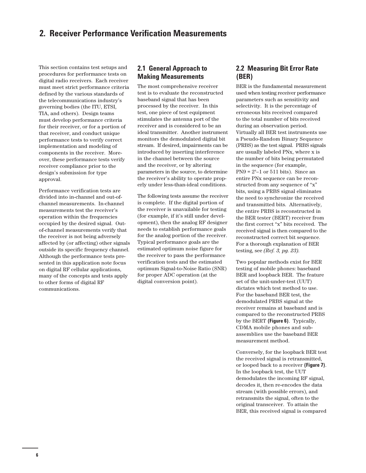This section contains test setups and procedures for performance tests on digital radio receivers. Each receiver must meet strict performance criteria defined by the various standards of the telecommunications industry's governing bodies (the ITU, ETSI, TIA, and others). Design teams must develop performance criteria for their receiver, or for a portion of that receiver, and conduct unique performance tests to verify correct implementation and modeling of components in the receiver. Moreover, these performance tests verify receiver compliance prior to the design's submission for type approval.

Performance verification tests are divided into in-channel and out-ofchannel measurements. In-channel measurements test the receiver's operation within the frequencies occupied by the desired signal. Outof-channel measurements verify that the receiver is not being adversely affected by (or affecting) other signals outside its specific frequency channel. Although the performance tests presented in this application note focus on digital RF cellular applications, many of the concepts and tests apply to other forms of digital RF communications.

# **2.1 General Approach to Making Measurements**

The most comprehensive receiver test is to evaluate the reconstructed baseband signal that has been processed by the receiver. In this test, one piece of test equipment stimulates the antenna port of the receiver and is considered to be an ideal transmitter. Another instrument monitors the demodulated digital bit stream. If desired, impairments can be introduced by inserting interference in the channel between the source and the receiver, or by altering parameters in the source, to determine the receiver's ability to operate properly under less-than-ideal conditions.

The following tests assume the receiver is complete. If the digital portion of the receiver is unavailable for testing (for example, if it's still under development), then the analog RF designer needs to establish performance goals for the analog portion of the receiver. Typical performance goals are the estimated optimum noise figure for the receiver to pass the performance verification tests and the estimated optimum Signal-to-Noise Ratio (SNR) for proper ADC operation (at the digital conversion point).

# **2.2 Measuring Bit Error Rate (BER)**

BER is the fundamental measurement used when testing receiver performance parameters such as sensitivity and selectivity. It is the percentage of erroneous bits received compared to the total number of bits received during an observation period. Virtually all BER test instruments use a Pseudo-Random Binary Sequence (PRBS) as the test signal. PRBS signals are usually labeled PNx, where x is the number of bits being permutated in the sequence (for example,  $PN9 = 2<sup>9</sup> - 1$  or 511 bits). Since an entire PNx sequence can be reconstructed from any sequence of "x" bits, using a PRBS signal eliminates the need to synchronize the received and transmitted bits. Alternatively, the entire PRBS is reconstructed in the BER tester (BERT) receiver from the first correct "x" bits received. The received signal is then compared to the reconstructed correct bit sequence. For a thorough explanation of BER testing, see *(Ref. 3, pg. 23)*.

Two popular methods exist for BER testing of mobile phones: baseband BER and loopback BER. The feature set of the unit-under-test (UUT) dictates which test method to use. For the baseband BER test, the demodulated PRBS signal at the receiver remains at baseband and is compared to the reconstructed PRBS by the BERT **(Figure 6)**. Typically, CDMA mobile phones and subassemblies use the baseband BER measurement method.

Conversely, for the loopback BER test the received signal is retransmitted, or looped back to a receiver **(Figure 7)**. In the loopback test, the UUT demodulates the incoming RF signal, decodes it, then re-encodes the data stream (with possible errors), and retransmits the signal, often to the original transceiver. To attain the BER, this received signal is compared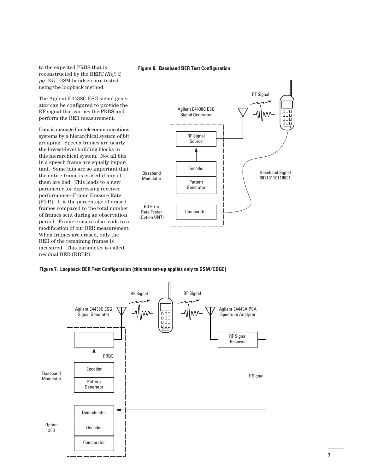to the expected PRBS that is reconstructed by the BERT *(Ref. 3, pg. 23)*. GSM handsets are tested using the loopback method.

The Agilent E4438C ESG signal generator can be configured to provide the RF signal that carries the PRBS and perform the BER measurement.

Data is managed in telecommunications systems by a hierarchical system of bit grouping. Speech frames are nearly the lowest-level building blocks in this hierarchical system. Not all bits in a speech frame are equally important. Some bits are so important that the entire frame is erased if any of them are bad. This leads to a new parameter for expressing receiver performance—Frame Erasure Rate (FER). It is the percentage of erased frames compared to the total number of frames sent during an observation period. Frame erasure also leads to a modification of our BER measurement. When frames are erased, only the BER of the remaining frames is measured. This parameter is called residual BER (RBER).







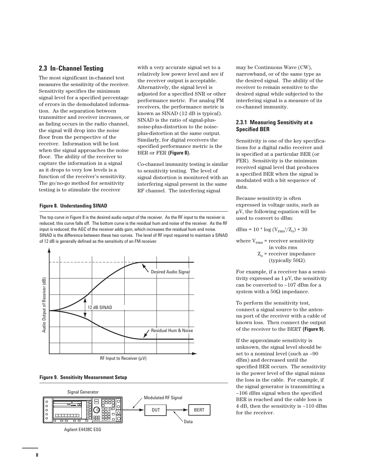# **2.3 In-Channel Testing**

The most significant in-channel test measures the sensitivity of the receiver. Sensitivity specifies the minimum signal level for a specified percentage of errors in the demodulated information. As the separation between transmitter and receiver increases, or as fading occurs in the radio channel, the signal will drop into the noise floor from the perspective of the receiver. Information will be lost when the signal approaches the noise floor. The ability of the receiver to capture the information in a signal as it drops to very low levels is a function of the receiver's sensitivity. The go/no-go method for sensitivity testing is to stimulate the receiver

with a very accurate signal set to a relatively low power level and see if the receiver output is acceptable. Alternatively, the signal level is adjusted for a specified SNR or other performance metric. For analog FM receivers, the performance metric is known as SINAD (12 dB is typical). SINAD is the ratio of signal-plusnoise-plus-distortion to the noiseplus-distortion at the same output. Similarly, for digital receivers the specified performance metric is the BER or FER **(Figure 8).** 

Co-channel immunity testing is similar to sensitivity testing. The level of signal distortion is monitored with an interfering signal present in the same RF channel. The interfering signal

# **Figure 8. Understanding SINAD**

The top curve in Figure 8 is the desired audio output of the receiver. As the RF input to the receiver is reduced, this curve falls off. The bottom curve is the residual hum and noise of the receiver. As the RF input is reduced, the AGC of the receiver adds gain, which increases the residual hum and noise. SINAD is the difference between these two curves. The level of RF input required to maintain a SINAD of 12 dB is generally defined as the sensitivity of an FM receiver.



**Figure 9. Sensitivity Measurement Setup**



may be Continuous Wave (CW), narrowband, or of the same type as the desired signal. The ability of the receiver to remain sensitive to the desired signal while subjected to the interfering signal is a measure of its co-channel immunity.

## **2.3.1 Measuring Sensitivity at a Specified BER**

Sensitivity is one of the key specifications for a digital radio receiver and is specified at a particular BER (or FER). Sensitivity is the minimum received signal level that produces a specified BER when the signal is modulated with a bit sequence of data.

Because sensitivity is often expressed in voltage units, such as µV, the following equation will be used to convert to dBm:

## dBm = 10  $*$  log ( $V_{\text{rms}}^2/Z_0$ ) + 30

where  $V_{\rm rms}$  = receiver sensitivity in volts rms  $Z_0$  = receiver impedance (typically 50Ω).

For example, if a receiver has a sensitivity expressed as  $1 \mu V$ , the sensitivity can be converted to –107 dBm for a system with a  $50\Omega$  impedance.

To perform the sensitivity test, connect a signal source to the antenna port of the receiver with a cable of known loss. Then connect the output of the receiver to the BERT **(Figure 9).** 

If the approximate sensitivity is unknown, the signal level should be set to a nominal level (such as –90 dBm) and decreased until the specified BER occurs. The sensitivity is the power level of the signal minus the loss in the cable. For example, if the signal generator is transmitting a –106 dBm signal when the specified BER is reached and the cable loss is 4 dB, then the sensitivity is –110 dBm for the receiver.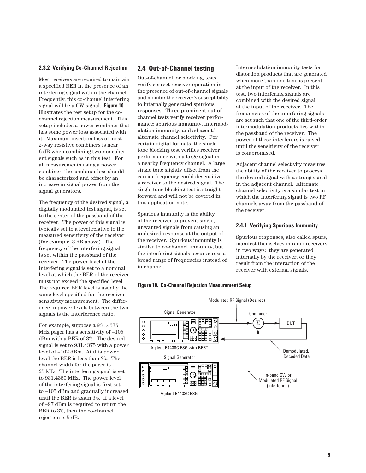## **2.3.2 Verifying Co-Channel Rejection**

Most receivers are required to maintain a specified BER in the presence of an interfering signal within the channel. Frequently, this co-channel interfering signal will be a CW signal. **Figure 10** illustrates the test setup for the cochannel rejection measurement. This setup includes a power combiner that has some power loss associated with it. Maximum insertion loss of most 2-way resistive combiners is near 6 dB when combining two noncoherent signals such as in this test. For all measurements using a power combiner, the combiner loss should be characterized and offset by an increase in signal power from the signal generators.

The frequency of the desired signal, a digitally modulated test signal, is set to the center of the passband of the receiver. The power of this signal is typically set to a level relative to the measured sensitivity of the receiver (for example, 3 dB above). The frequency of the interfering signal is set within the passband of the receiver. The power level of the interfering signal is set to a nominal level at which the BER of the receiver must not exceed the specified level. The required BER level is usually the same level specified for the receiver sensitivity measurement. The difference in power levels between the two signals is the interference ratio.

For example, suppose a 931.4375 MHz pager has a sensitivity of –105 dBm with a BER of 3%. The desired signal is set to 931.4375 with a power level of –102 dBm. At this power level the BER is less than 3%. The channel width for the pager is 25 kHz. The interfering signal is set to 931.4380 MHz. The power level of the interfering signal is first set to –105 dBm and gradually increased until the BER is again 3%. If a level of –97 dBm is required to return the BER to 3%, then the co-channel rejection is 5 dB.

# **2.4 Out-of-Channel testing**

Out-of-channel, or blocking, tests verify correct receiver operation in the presence of out-of-channel signals and monitor the receiver's susceptibility to internally generated spurious responses. Three prominent out-ofchannel tests verify receiver performance: spurious immunity, intermodulation immunity, and adjacent/ alternate channel selectivity. For certain digital formats, the singletone blocking test verifies receiver performance with a large signal in a nearby frequency channel. A large single tone slightly offset from the carrier frequency could desensitize a receiver to the desired signal. The single-tone blocking test is straightforward and will not be covered in this application note.

Spurious immunity is the ability of the receiver to prevent single, unwanted signals from causing an undesired response at the output of the receiver. Spurious immunity is similar to co-channel immunity, but the interfering signals occur across a broad range of frequencies instead of in-channel.

Intermodulation immunity tests for distortion products that are generated when more than one tone is present at the input of the receiver. In this test, two interfering signals are combined with the desired signal at the input of the receiver. The frequencies of the interfering signals are set such that one of the third-order intermodulation products lies within the passband of the receiver. The power of these interferers is raised until the sensitivity of the receiver is compromised.

Adjacent channel selectivity measures the ability of the receiver to process the desired signal with a strong signal in the adjacent channel. Alternate channel selectivity is a similar test in which the interfering signal is two RF channels away from the passband of the receiver.

#### **2.4.1 Verifying Spurious Immunity**

Spurious responses, also called spurs, manifest themselves in radio receivers in two ways: they are generated internally by the receiver, or they result from the interaction of the receiver with external signals.



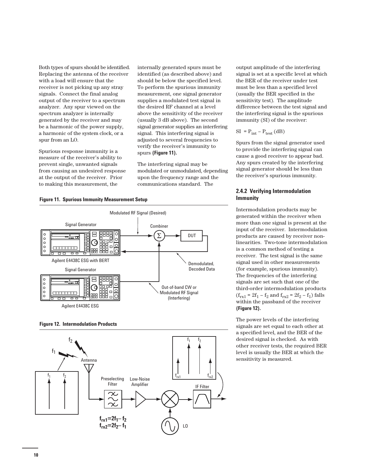Both types of spurs should be identified. Replacing the antenna of the receiver with a load will ensure that the receiver is not picking up any stray signals. Connect the final analog output of the receiver to a spectrum analyzer. Any spur viewed on the spectrum analyzer is internally generated by the receiver and may be a harmonic of the power supply, a harmonic of the system clock, or a spur from an LO.

Spurious response immunity is a measure of the receiver's ability to prevent single, unwanted signals from causing an undesired response at the output of the receiver. Prior to making this measurement, the

internally generated spurs must be identified (as described above) and should be below the specified level. To perform the spurious immunity measurement, one signal generator supplies a modulated test signal in the desired RF channel at a level above the sensitivity of the receiver (usually 3 dB above). The second signal generator supplies an interfering signal. This interfering signal is adjusted to several frequencies to verify the receiver's immunity to spurs **(Figure 11).**

The interfering signal may be modulated or unmodulated, depending upon the frequency range and the communications standard. The









output amplitude of the interfering signal is set at a specific level at which the BER of the receiver under test must be less than a specified level (usually the BER specified in the sensitivity test). The amplitude difference between the test signal and the interfering signal is the spurious immunity (SI) of the receiver:

$$
SI = P_{int} - P_{test} (dB)
$$

Spurs from the signal generator used to provide the interfering signal can cause a good receiver to appear bad. Any spurs created by the interfering signal generator should be less than the receiver's spurious immunity.

## **2.4.2 Verifying Intermodulation Immunity**

Intermodulation products may be generated within the receiver when more than one signal is present at the input of the receiver. Intermodulation products are caused by receiver nonlinearities. Two-tone intermodulation is a common method of testing a receiver. The test signal is the same signal used in other measurements (for example, spurious immunity). The frequencies of the interfering signals are set such that one of the third-order intermodulation products  $(f_{rx1} = 2f_1 - f_2$  and  $f_{rx2} = 2f_2 - f_1$ ) falls within the passband of the receiver **(Figure 12).** 

The power levels of the interfering signals are set equal to each other at a specified level, and the BER of the desired signal is checked. As with other receiver tests, the required BER level is usually the BER at which the sensitivity is measured.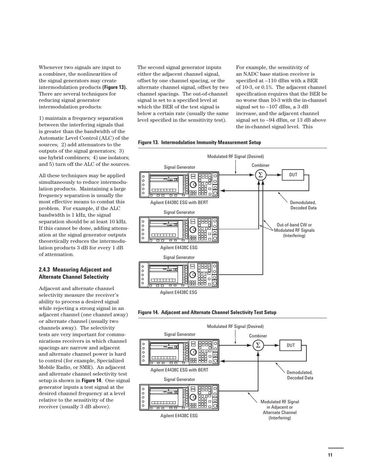Whenever two signals are input to a combiner, the nonlinearities of the signal generators may create intermodulation products **(Figure 13).** There are several techniques for reducing signal generator intermodulation products:

1) maintain a frequency separation between the interfering signals that is greater than the bandwidth of the Automatic Level Control (ALC) of the sources; 2) add attenuators to the outputs of the signal generators; 3) use hybrid combiners; 4) use isolators; and 5) turn off the ALC of the sources.

All these techniques may be applied simultaneously to reduce intermodulation products. Maintaining a large frequency separation is usually the most effective means to combat this problem. For example, if the ALC bandwidth is 1 kHz, the signal separation should be at least 10 kHz. If this cannot be done, adding attenuation at the signal generator outputs theoretically reduces the intermodulation products 3 dB for every 1 dB of attenuation.

## **2.4.3 Measuring Adjacent and Alternate Channel Selectivity**

Adjacent and alternate channel selectivity measure the receiver's ability to process a desired signal while rejecting a strong signal in an adjacent channel (one channel away) or alternate channel (usually two channels away). The selectivity tests are very important for communications receivers in which channel spacings are narrow and adjacent and alternate channel power is hard to control (for example, Specialized Mobile Radio, or SMR). An adjacent and alternate channel selectivity test setup is shown in **Figure 14**. One signal generator inputs a test signal at the desired channel frequency at a level relative to the sensitivity of the receiver (usually 3 dB above).

The second signal generator inputs either the adjacent channel signal, offset by one channel spacing, or the alternate channel signal, offset by two channel spacings. The out-of-channel signal is set to a specified level at which the BER of the test signal is below a certain rate (usually the same level specified in the sensitivity test).

For example, the sensitivity of an NADC base station receiver is specified at –110 dBm with a BER of 10-3, or 0.1%. The adjacent channel specification requires that the BER be no worse than 10-3 with the in-channel signal set to –107 dBm, a 3 dB increase, and the adjacent channel signal set to –94 dBm, or 13 dB above the in-channel signal level. This







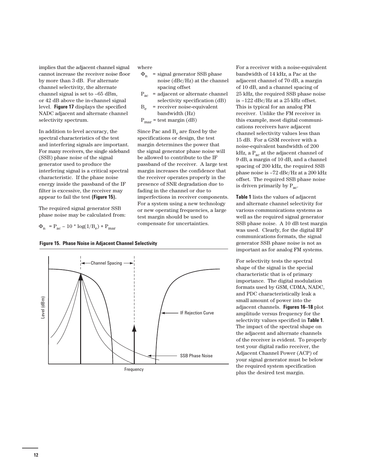implies that the adjacent channel signal cannot increase the receiver noise floor by more than 3 dB. For alternate channel selectivity, the alternate channel signal is set to –65 dBm, or 42 dB above the in-channel signal level. **Figure 17** displays the specified NADC adjacent and alternate channel selectivity spectrum.

In addition to level accuracy, the spectral characteristics of the test and interfering signals are important. For many receivers, the single sideband (SSB) phase noise of the signal generator used to produce the interfering signal is a critical spectral characteristic. If the phase noise energy inside the passband of the IF filter is excessive, the receiver may appear to fail the test **(Figure 15).** 

The required signal generator SSB phase noise may be calculated from:

 $\Phi_{\rm n}$  = P<sub>ac</sub> – 10 \* log(1/B<sub>e</sub>) + P<sub>mar</sub>





Frequency

adjacent channel of 70 dB, a margin of 10 dB, and a channel spacing of 25 kHz, the required SSB phase noise is –122 dBc/Hz at a 25 kHz offset. This is typical for an analog FM receiver. Unlike the FM receiver in this example, most digital communications receivers have adjacent channel selectivity values less than 15 dB. For a GSM receiver with a noise-equivalent bandwidth of 200 kHz, a  $\mathrm{P_{ac}}$  at the adjacent channel of 9 dB, a margin of 10 dB, and a channel spacing of 200 kHz, the required SSB phase noise is –72 dBc/Hz at a 200 kHz offset. The required SSB phase noise is driven primarily by  $P_{ac}$ .

For a receiver with a noise-equivalent bandwidth of 14 kHz, a Pac at the

**Table 1** lists the values of adjacent and alternate channel selectivity for various communications systems as well as the required signal generator SSB phase noise. A 10 dB test margin was used. Clearly, for the digital RF communications formats, the signal generator SSB phase noise is not as important as for analog FM systems.

For selectivity tests the spectral shape of the signal is the special characteristic that is of primary importance. The digital modulation formats used by GSM, CDMA, NADC, and PDC characteristically leak a small amount of power into the adjacent channels. **Figures 16–18** plot amplitude versus frequency for the selectivity values specified in **Table 1**. The impact of the spectral shape on the adjacent and alternate channels of the receiver is evident. To properly test your digital radio receiver, the Adjacent Channel Power (ACP) of your signal generator must be below the required system specification plus the desired test margin.

# where

- $\Phi_{\rm n}$  = signal generator SSB phase noise (dBc/Hz) at the channel spacing offset
- $P_{ac}$  = adjacent or alternate channel selectivity specification (dB)
- $B_{\alpha}$  = receiver noise-equivalent bandwidth (Hz)

 $P<sub>mar</sub> = test margin (dB)$ 

Since Pac and  $B_e$  are fixed by the specifications or design, the test margin determines the power that the signal generator phase noise will be allowed to contribute to the IF passband of the receiver. A large test margin increases the confidence that the receiver operates properly in the presence of SNR degradation due to fading in the channel or due to imperfections in receiver components. For a system using a new technology or new operating frequencies, a large test margin should be used to compensate for uncertainties.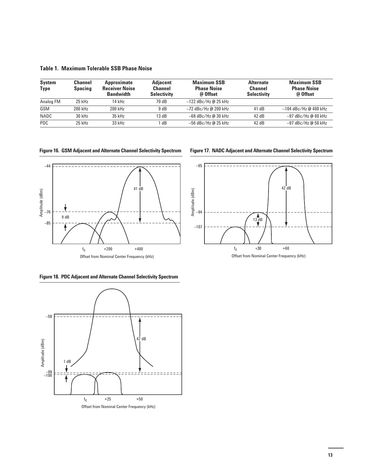**Table 1. Maximum Tolerable SSB Phase Noise** 

| System<br><b>Type</b> | <b>Channel</b><br><b>Spacing</b> | Approximate<br><b>Receiver Noise</b><br><b>Bandwidth</b> | <b>Adiacent</b><br><b>Channel</b><br><b>Selectivity</b> | <b>Maximum SSB</b><br><b>Phase Noise</b><br>@ Offset | <b>Alternate</b><br><b>Channel</b><br><b>Selectivity</b> | <b>Maximum SSB</b><br><b>Phase Noise</b><br>@ Offset |
|-----------------------|----------------------------------|----------------------------------------------------------|---------------------------------------------------------|------------------------------------------------------|----------------------------------------------------------|------------------------------------------------------|
| Analog FM             | 25 kHz                           | 14 kHz                                                   | 70 dB                                                   | $-122$ dBc/Hz @ 25 kHz                               |                                                          |                                                      |
| GSM                   | 200 kHz                          | 200 kHz                                                  | 9 dB                                                    | $-72$ dBc/Hz @ 200 kHz                               | 41 dB                                                    | $-104$ dBc/Hz @ 400 kHz                              |
| <b>NADC</b>           | $30$ kHz                         | 35 kHz                                                   | 13 dB                                                   | $-68$ dBc/Hz @ 30 kHz                                | 42 dB                                                    | $-97$ dBc/Hz @ 60 kHz                                |
| <b>PDC</b>            | $25$ kHz                         | 33 kHz                                                   | dB                                                      | $-56$ dBc/Hz @ 25 kHz                                | 42dB                                                     | -97 dBc/Hz @ 50 kHz                                  |

**Figure 16. GSM Adjacent and Alternate Channel Selectivity Spectrum** 



Offset from Nominal Center Frequency (kHz)

**Figure 17. NADC Adjacent and Alternate Channel Selectivity Spectrum** 



Offset from Nominal Center Frequency (kHz)

**Figure 18. PDC Adjacent and Alternate Channel Selectivity Spectrum** 

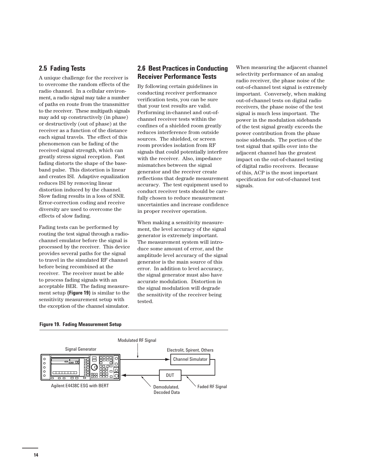# **2.5 Fading Tests**

A unique challenge for the receiver is to overcome the random effects of the radio channel. In a cellular environment, a radio signal may take a number of paths en route from the transmitter to the receiver. These multipath signals may add up constructively (in phase) or destructively (out of phase) at the receiver as a function of the distance each signal travels. The effect of this phenomenon can be fading of the received signal strength, which can greatly stress signal reception. Fast fading distorts the shape of the baseband pulse. This distortion is linear and creates ISI. Adaptive equalization reduces ISI by removing linear distortion induced by the channel. Slow fading results in a loss of SNR. Error-correction coding and receive diversity are used to overcome the effects of slow fading.

Fading tests can be performed by routing the test signal through a radiochannel emulator before the signal is processed by the receiver. This device provides several paths for the signal to travel in the simulated RF channel before being recombined at the receiver. The receiver must be able to process fading signals with an acceptable BER. The fading measurement setup **(Figure 19)** is similar to the sensitivity measurement setup with the exception of the channel simulator.

# **2.6 Best Practices in Conducting Receiver Performance Tests**

By following certain guidelines in conducting receiver performance verification tests, you can be sure that your test results are valid. Performing in-channel and out-ofchannel receiver tests within the confines of a shielded room greatly reduces interference from outside sources. The shielded, or screen room provides isolation from RF signals that could potentially interfere with the receiver. Also, impedance mismatches between the signal generator and the receiver create reflections that degrade measurement accuracy. The test equipment used to conduct receiver tests should be carefully chosen to reduce measurement uncertainties and increase confidence in proper receiver operation.

When making a sensitivity measurement, the level accuracy of the signal generator is extremely important. The measurement system will introduce some amount of error, and the amplitude level accuracy of the signal generator is the main source of this error. In addition to level accuracy, the signal generator must also have accurate modulation. Distortion in the signal modulation will degrade the sensitivity of the receiver being tested.

When measuring the adjacent channel selectivity performance of an analog radio receiver, the phase noise of the out-of-channel test signal is extremely important. Conversely, when making out-of-channel tests on digital radio receivers, the phase noise of the test signal is much less important. The power in the modulation sidebands of the test signal greatly exceeds the power contribution from the phase noise sidebands. The portion of the test signal that spills over into the adjacent channel has the greatest impact on the out-of-channel testing of digital radio receivers. Because of this, ACP is the most important specification for out-of-channel test signals.

## **Figure 19. Fading Measurement Setup**

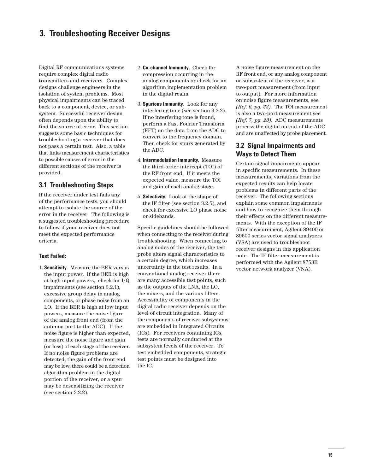# **3. Troubleshooting Receiver Designs**

Digital RF communications systems require complex digital radio transmitters and receivers. Complex designs challenge engineers in the isolation of system problems. Most physical impairments can be traced back to a component, device, or subsystem. Successful receiver design often depends upon the ability to find the source of error. This section suggests some basic techniques for troubleshooting a receiver that does not pass a certain test. Also, a table that links measurement characteristics to possible causes of error in the different sections of the receiver is provided.

## **3.1 Troubleshooting Steps**

If the receiver under test fails any of the performance tests, you should attempt to isolate the source of the error in the receiver. The following is a suggested troubleshooting procedure to follow if your receiver does not meet the expected performance criteria.

## **Test Failed:**

1. **Sensitivity.** Measure the BER versus the input power. If the BER is high at high input powers, check for I/Q impairments (see section 3.2.1), excessive group delay in analog components, or phase noise from an LO. If the BER is high at low input powers, measure the noise figure of the analog front end (from the antenna port to the ADC). If the noise figure is higher than expected, measure the noise figure and gain (or loss) of each stage of the receiver. If no noise figure problems are detected, the gain of the front end may be low, there could be a detection algorithm problem in the digital portion of the receiver, or a spur may be desensitizing the receiver (see section 3.2.2).

- 2. **Co-channel Immunity.** Check for compression occurring in the analog components or check for an algorithm implementation problem in the digital realm.
- 3. **Spurious Immunity**. Look for any interfering tone (see section 3.2.2). If no interfering tone is found, perform a Fast Fourier Transform (FFT) on the data from the ADC to convert to the frequency domain. Then check for spurs generated by the ADC.
- 4. **Intermodulation Immunity.** Measure the third-order intercept (TOI) of the RF front end. If it meets the expected value, measure the TOI and gain of each analog stage.
- 5. **Selectivity.** Look at the shape of the IF filter (see section 3.2.5), and check for excessive LO phase noise or sidebands.

Specific guidelines should be followed when connecting to the receiver during troubleshooting. When connecting to analog nodes of the receiver, the test probe alters signal characteristics to a certain degree, which increases uncertainty in the test results. In a conventional analog receiver there are many accessible test points, such as the outputs of the LNA, the LO, the mixers, and the various filters. Accessibility of components in the digital radio receiver depends on the level of circuit integration. Many of the components of receiver subsystems are embedded in Integrated Circuits (ICs). For receivers containing ICs, tests are normally conducted at the subsystem levels of the receiver. To test embedded components, strategic test points must be designed into the IC.

A noise figure measurement on the RF front end, or any analog component or subsystem of the receiver, is a two-port measurement (from input to output). For more information on noise figure measurements, see *(Ref. 6, pg. 23)*. The TOI measurement is also a two-port measurement see *(Ref. 7, pg. 23)*. ADC measurements process the digital output of the ADC and are unaffected by probe placement.

# **3.2 Signal Impairments and Ways to Detect Them**

Certain signal impairments appear in specific measurements. In these measurements, variations from the expected results can help locate problems in different parts of the receiver. The following sections explain some common impairments and how to recognize them through their effects on the different measurements. With the exception of the IF filter measurement, Agilent 89400 or 89600 series vector signal analyzers (VSA) are used to troubleshoot receiver designs in this application note. The IF filter measurement is performed with the Agilent 8753E vector network analyzer (VNA).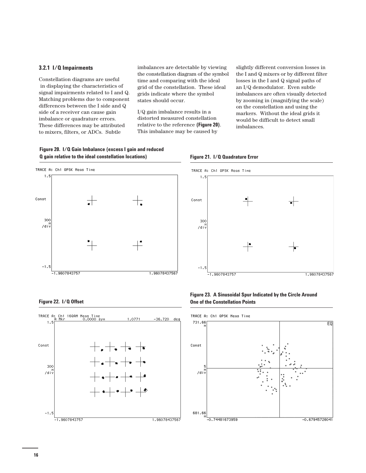### **3.2.1 I/Q Impairments**

Constellation diagrams are useful in displaying the characteristics of signal impairments related to I and Q. Matching problems due to component differences between the I side and Q side of a receiver can cause gain imbalance or quadrature errors. These differences may be attributed to mixers, filters, or ADCs. Subtle

imbalances are detectable by viewing the constellation diagram of the symbol time and comparing with the ideal grid of the constellation. These ideal grids indicate where the symbol states should occur.

I/Q gain imbalance results in a distorted measured constellation relative to the reference **(Figure 20)**. This imbalance may be caused by

slightly different conversion losses in the I and Q mixers or by different filter losses in the I and Q signal paths of an I/Q demodulator. Even subtle imbalances are often visually detected by zooming in (magnifying the scale) on the constellation and using the markers. Without the ideal grids it would be difficult to detect small imbalances.











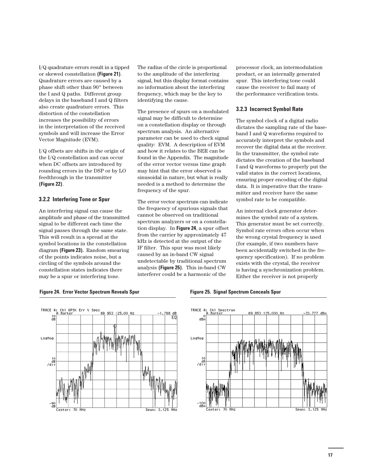I/Q quadrature errors result in a tipped or skewed constellation **(Figure 21)**. Quadrature errors are caused by a phase shift other than 90° between the I and Q paths. Different group delays in the baseband I and Q filters also create quadrature errors. This distortion of the constellation increases the possibility of errors in the interpretation of the received symbols and will increase the Error Vector Magnitude (EVM).

I/Q offsets are shifts in the origin of the I/Q constellation and can occur when DC offsets are introduced by rounding errors in the DSP or by LO feedthrough in the transmitter **(Figure 22)**.

### **3.2.2 Interfering Tone or Spur**

An interfering signal can cause the amplitude and phase of the transmitted signal to be different each time the signal passes through the same state. This will result in a spread at the symbol locations in the constellation diagram **(Figure 23).** Random smearing of the points indicates noise, but a circling of the symbols around the constellation states indicates there may be a spur or interfering tone.

The radius of the circle is proportional to the amplitude of the interfering signal, but this display format contains no information about the interfering frequency, which may be the key to identifying the cause.

The presence of spurs on a modulated signal may be difficult to determine on a constellation display or through spectrum analysis. An alternative parameter can be used to check signal quality: EVM. A description of EVM and how it relates to the BER can be found in the Appendix. The magnitude of the error vector versus time graph may hint that the error observed is sinusoidal in nature, but what is really needed is a method to determine the frequency of the spur.

The error vector spectrum can indicate the frequency of spurious signals that cannot be observed on traditional spectrum analyzers or on a constellation display. In **Figure 24**, a spur offset from the carrier by approximately 47 kHz is detected at the output of the IF filter. This spur was most likely caused by an in-band CW signal undetectable by traditional spectrum analysis **(Figure 25)**. This in-band CW interferer could be a harmonic of the

processor clock, an intermodulation product, or an internally generated spur. This interfering tone could cause the receiver to fail many of the performance verification tests.

#### **3.2.3 Incorrect Symbol Rate**

The symbol clock of a digital radio dictates the sampling rate of the baseband I and Q waveforms required to accurately interpret the symbols and recover the digital data at the receiver. In the transmitter, the symbol rate dictates the creation of the baseband I and Q waveforms to properly put the valid states in the correct locations, ensuring proper encoding of the digital data. It is imperative that the transmitter and receiver have the same symbol rate to be compatible.

An internal clock generator determines the symbol rate of a system. This generator must be set correctly. Symbol rate errors often occur when the wrong crystal frequency is used (for example, if two numbers have been accidentally switched in the frequency specification). If no problem exists with the crystal, the receiver is having a synchronization problem. Either the receiver is not properly

#### **Figure 24. Error Vector Spectrum Reveals Spur** Figure 25. Signal Spectrum Conceals Spur





**17**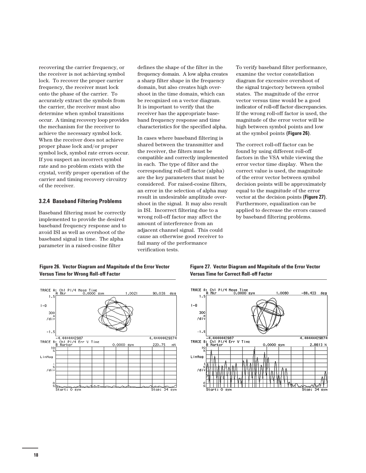recovering the carrier frequency, or the receiver is not achieving symbol lock. To recover the proper carrier frequency, the receiver must lock onto the phase of the carrier. To accurately extract the symbols from the carrier, the receiver must also determine when symbol transitions occur. A timing recovery loop provides the mechanism for the receiver to achieve the necessary symbol lock. When the receiver does not achieve proper phase lock and/or proper symbol lock, symbol rate errors occur. If you suspect an incorrect symbol rate and no problem exists with the crystal, verify proper operation of the carrier and timing recovery circuitry of the receiver.

#### **3.2.4 Baseband Filtering Problems**

Baseband filtering must be correctly implemented to provide the desired baseband frequency response and to avoid ISI as well as overshoot of the baseband signal in time. The alpha parameter in a raised-cosine filter

defines the shape of the filter in the frequency domain. A low alpha creates a sharp filter shape in the frequency domain, but also creates high overshoot in the time domain, which can be recognized on a vector diagram. It is important to verify that the receiver has the appropriate baseband frequency response and time characteristics for the specified alpha.

In cases where baseband filtering is shared between the transmitter and the receiver, the filters must be compatible and correctly implemented in each. The type of filter and the corresponding roll-off factor (alpha) are the key parameters that must be considered. For raised-cosine filters, an error in the selection of alpha may result in undesirable amplitude overshoot in the signal. It may also result in ISI. Incorrect filtering due to a wrong roll-off factor may affect the amount of interference from an adjacent channel signal. This could cause an otherwise good receiver to fail many of the performance verification tests.

To verify baseband filter performance, examine the vector constellation diagram for excessive overshoot of the signal trajectory between symbol states. The magnitude of the error vector versus time would be a good indicator of roll-off factor discrepancies. If the wrong roll-off factor is used, the magnitude of the error vector will be high between symbol points and low at the symbol points **(Figure 26)**.

The correct roll-off factor can be found by using different roll-off factors in the VSA while viewing the error vector time display. When the correct value is used, the magnitude of the error vector between symbol decision points will be approximately equal to the magnitude of the error vector at the decision points **(Figure 27)**. Furthermore, equalization can be applied to decrease the errors caused by baseband filtering problems.





**Figure 27. Vector Diagram and Magnitude of the Error Vector Versus Time for Correct Roll-off Factor**

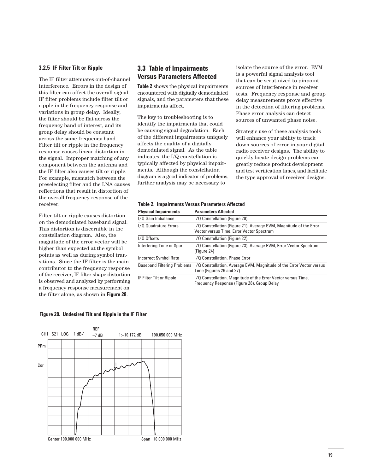#### **3.2.5 IF Filter Tilt or Ripple**

The IF filter attenuates out-of-channel interference. Errors in the design of this filter can affect the overall signal. IF filter problems include filter tilt or ripple in the frequency response and variations in group delay. Ideally, the filter should be flat across the frequency band of interest, and its group delay should be constant across the same frequency band. Filter tilt or ripple in the frequency response causes linear distortion in the signal. Improper matching of any component between the antenna and the IF filter also causes tilt or ripple. For example, mismatch between the preselecting filter and the LNA causes reflections that result in distortion of the overall frequency response of the receiver.

Filter tilt or ripple causes distortion on the demodulated baseband signal. This distortion is discernible in the constellation diagram. Also, the magnitude of the error vector will be higher than expected at the symbol points as well as during symbol transitions. Since the IF filter is the main contributor to the frequency response of the receiver, IF filter shape distortion is observed and analyzed by performing a frequency response measurement on the filter alone, as shown in **Figure 28**.

# **3.3 Table of Impairments Versus Parameters Affected**

**Table 2** shows the physical impairments encountered with digitally demodulated signals, and the parameters that these impairments affect.

The key to troubleshooting is to identify the impairments that could be causing signal degradation. Each of the different impairments uniquely affects the quality of a digitally demodulated signal. As the table indicates, the I/Q constellation is typically affected by physical impairments. Although the constellation diagram is a good indicator of problems, further analysis may be necessary to

isolate the source of the error. EVM is a powerful signal analysis tool that can be scrutinized to pinpoint sources of interference in receiver tests. Frequency response and group delay measurements prove effective in the detection of filtering problems. Phase error analysis can detect sources of unwanted phase noise.

Strategic use of these analysis tools will enhance your ability to track down sources of error in your digital radio receiver designs. The ability to quickly locate design problems can greatly reduce product development and test verification times, and facilitate the type approval of receiver designs.

## **Table 2. Impairments Versus Parameters Affected**

| <b>Physical Impairments</b>  | <b>Parameters Affected</b>                                                                                      |
|------------------------------|-----------------------------------------------------------------------------------------------------------------|
| I/Q Gain Imbalance           | I/Q Constellation (Figure 20)                                                                                   |
| I/O Quadrature Errors        | I/Q Constellation (Figure 21), Average EVM, Magnitude of the Error<br>Vector versus Time, Error Vector Spectrum |
| I/Q Offsets                  | I/Q Constellation (Figure 22)                                                                                   |
| Interfering Tone or Spur     | I/Q Constellation (Figure 23), Average EVM, Error Vector Spectrum<br>(Figure 24)                                |
| <b>Incorrect Symbol Rate</b> | I/Q Constellation, Phase Error                                                                                  |
| Baseband Filtering Problems  | I/Q Constellation, Average EVM, Magnitude of the Error Vector versus<br>Time (Figures 26 and 27)                |
| IF Filter Tilt or Ripple     | I/Q Constellation, Magnitude of the Error Vector versus Time,<br>Frequency Response (Figure 28), Group Delay    |

#### **Figure 28. Undesired Tilt and Ripple in the IF Filter**

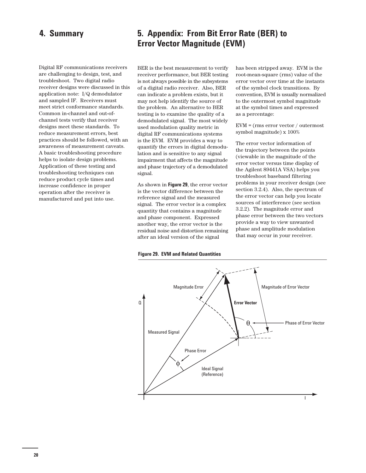# **4. Summary**

Digital RF communications receivers are challenging to design, test, and troubleshoot. Two digital radio receiver designs were discussed in this application note: I/Q demodulator and sampled IF. Receivers must meet strict conformance standards. Common in-channel and out-ofchannel tests verify that receiver designs meet these standards. To reduce measurement errors, best practices should be followed, with an awareness of measurement caveats. A basic troubleshooting procedure helps to isolate design problems. Application of these testing and troubleshooting techniques can reduce product cycle times and increase confidence in proper operation after the receiver is manufactured and put into use.

# **5. Appendix: From Bit Error Rate (BER) to Error Vector Magnitude (EVM)**

BER is the best measurement to verify receiver performance, but BER testing is not always possible in the subsystems of a digital radio receiver. Also, BER can indicate a problem exists, but it may not help identify the source of the problem. An alternative to BER testing is to examine the quality of a demodulated signal. The most widely used modulation quality metric in digital RF communications systems is the EVM. EVM provides a way to quantify the errors in digital demodulation and is sensitive to any signal impairment that affects the magnitude and phase trajectory of a demodulated signal.

As shown in **Figure 29**, the error vector is the vector difference between the reference signal and the measured signal. The error vector is a complex quantity that contains a magnitude and phase component. Expressed another way, the error vector is the residual noise and distortion remaining after an ideal version of the signal

has been stripped away. EVM is the root-mean-square (rms) value of the error vector over time at the instants of the symbol clock transitions. By convention, EVM is usually normalized to the outermost symbol magnitude at the symbol times and expressed as a percentage:

EVM = (rms error vector / outermost symbol magnitude) x 100%

The error vector information of the trajectory between the points (viewable in the magnitude of the error vector versus time display of the Agilent 89441A VSA) helps you troubleshoot baseband filtering problems in your receiver design (see section 3.2.4). Also, the spectrum of the error vector can help you locate sources of interference (see section 3.2.2). The magnitude error and phase error between the two vectors provide a way to view unwanted phase and amplitude modulation that may occur in your receiver.



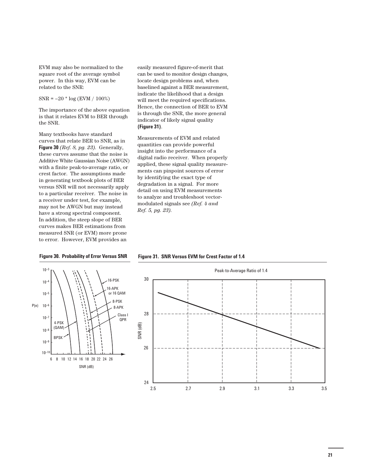EVM may also be normalized to the square root of the average symbol power. In this way, EVM can be related to the SNR:

SNR = –20 \* log (EVM / 100%)

The importance of the above equation is that it relates EVM to BER through the SNR.

Many textbooks have standard curves that relate BER to SNR, as in **Figure 30** *(Ref. 8, pg. 23)*. Generally, these curves assume that the noise is Additive White Gaussian Noise (AWGN) with a finite peak-to-average ratio, or crest factor. The assumptions made in generating textbook plots of BER versus SNR will not necessarily apply to a particular receiver. The noise in a receiver under test, for example, may not be AWGN but may instead have a strong spectral component. In addition, the steep slope of BER curves makes BER estimations from measured SNR (or EVM) more prone to error. However, EVM provides an

easily measured figure-of-merit that can be used to monitor design changes, locate design problems and, when baselined against a BER measurement, indicate the likelihood that a design will meet the required specifications. Hence, the connection of BER to EVM is through the SNR, the more general indicator of likely signal quality **(Figure 31)**.

Measurements of EVM and related quantities can provide powerful insight into the performance of a digital radio receiver. When properly applied, these signal quality measurements can pinpoint sources of error by identifying the exact type of degradation in a signal. For more detail on using EVM measurements to analyze and troubleshoot vectormodulated signals see *(Ref. 4 and Ref. 5, pg. 23)*.



#### **Figure 31. SNR Versus EVM for Crest Factor of 1.4 Figure 30. Probability of Error Versus SNR**

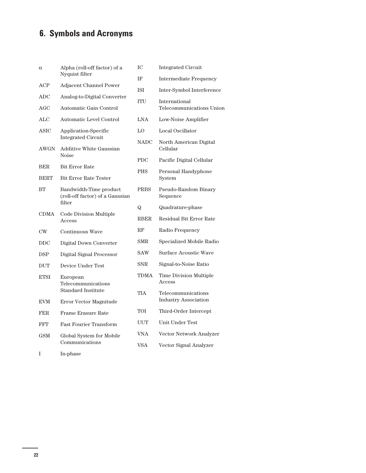# **6. Symbols and Acronyms**

| $\alpha$                  | Alpha (roll-off factor) of a                              | IC          | <b>Integrated Circuit</b>                 |  |
|---------------------------|-----------------------------------------------------------|-------------|-------------------------------------------|--|
|                           | Nyquist filter                                            | IF          | <b>Intermediate Frequency</b>             |  |
| ACP                       | Adjacent Channel Power                                    | ISI         | Inter-Symbol Interference                 |  |
| <b>ADC</b>                | Analog-to-Digital Converter                               | <b>ITU</b>  | International<br>Telecommunications Union |  |
| AGC                       | Automatic Gain Control                                    |             |                                           |  |
| ALC                       | Automatic Level Control                                   | LNA         | Low-Noise Amplifier                       |  |
| ASIC                      | Application-Specific<br><b>Integrated Circuit</b>         | LO          | Local Oscillator                          |  |
| <b>AWGN</b>               | Additive White Gaussian                                   | <b>NADC</b> | North American Digital<br>Cellular        |  |
|                           | <b>Noise</b>                                              | <b>PDC</b>  | Pacific Digital Cellular                  |  |
| <b>BER</b><br><b>BERT</b> | <b>Bit Error Rate</b><br><b>Bit Error Rate Tester</b>     | <b>PHS</b>  | Personal Handyphone<br>System             |  |
| BT                        | Bandwidth-Time product<br>(roll-off factor) of a Gaussian | <b>PRBS</b> | Pseudo-Random Binary<br>Sequence          |  |
|                           | filter                                                    | Q           | Quadrature-phase                          |  |
| CDMA                      | Code Division Multiple<br>Access                          | RBER        | Residual Bit Error Rate                   |  |
| $\rm CW$                  | Continuous Wave                                           | $_{\rm RF}$ | Radio Frequency                           |  |
| <b>DDC</b>                | Digital Down Converter                                    | <b>SMR</b>  | Specialized Mobile Radio                  |  |
| <b>DSP</b>                | Digital Signal Processor                                  | <b>SAW</b>  | Surface Acoustic Wave                     |  |
| <b>DUT</b>                | Device Under Test                                         | SNR.        | Signal-to-Noise Ratio                     |  |
| ETSI                      | European<br>Telecommunications                            | TDMA        | Time Division Multiple<br>Access          |  |
|                           | <b>Standard Institute</b>                                 | TIA         | Telecommunications                        |  |
| <b>EVM</b>                | Error Vector Magnitude                                    |             | <b>Industry Association</b>               |  |
| <b>FER</b>                | <b>Frame Erasure Rate</b>                                 | TOI         | Third-Order Intercept                     |  |
| <b>FFT</b>                | <b>Fast Fourier Transform</b>                             | UUT         | Unit Under Test                           |  |
| <b>GSM</b>                | Global System for Mobile                                  | <b>VNA</b>  | Vector Network Analyzer                   |  |
|                           | Communications                                            | <b>VSA</b>  | Vector Signal Analyzer                    |  |
| I                         | In-phase                                                  |             |                                           |  |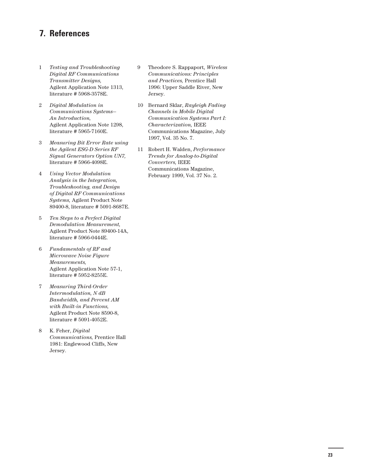# **7. References**

- 1 *Testing and Troubleshooting Digital RF Communications Transmitter Designs,* Agilent Application Note 1313, literature # 5968-3578E.
- 2 *Digital Modulation in Communications Systems— An Introduction,* Agilent Application Note 1298, literature # 5965-7160E.
- 3 *Measuring Bit Error Rate using the Agilent ESG-D Series RF Signal Generators Option UN7,* literature # 5966-4098E.
- 4 *Using Vector Modulation Analysis in the Integration, Troubleshooting, and Design of Digital RF Communications Systems,* Agilent Product Note 89400-8, literature # 5091-8687E.
- 5 *Ten Steps to a Perfect Digital Demodulation Measurement,* Agilent Product Note 89400-14A, literature # 5966-0444E.
- 6 *Fundamentals of RF and Microwave Noise Figure Measurements,* Agilent Application Note 57-1, literature # 5952-8255E.
- 7 *Measuring Third-Order Intermodulation, N dB Bandwidth, and Percent AM with Built-in Functions,* Agilent Product Note 8590-8, literature # 5091-4052E.
- 8 K. Feher, *Digital Communications,* Prentice Hall 1981: Englewood Cliffs, New Jersey.
- 9 Theodore S. Rappaport, *Wireless Communications: Principles and Practices,* Prentice Hall 1996: Upper Saddle River, New Jersey.
- 10 Bernard Sklar, *Rayleigh Fading Channels in Mobile Digital Communication Systems Part I: Characterization,* IEEE Communications Magazine, July 1997, Vol. 35 No. 7.
- 11 Robert H. Walden, *Performance Trends for Analog-to-Digital Converters,* IEEE Communications Magazine, February 1999, Vol. 37 No. 2.